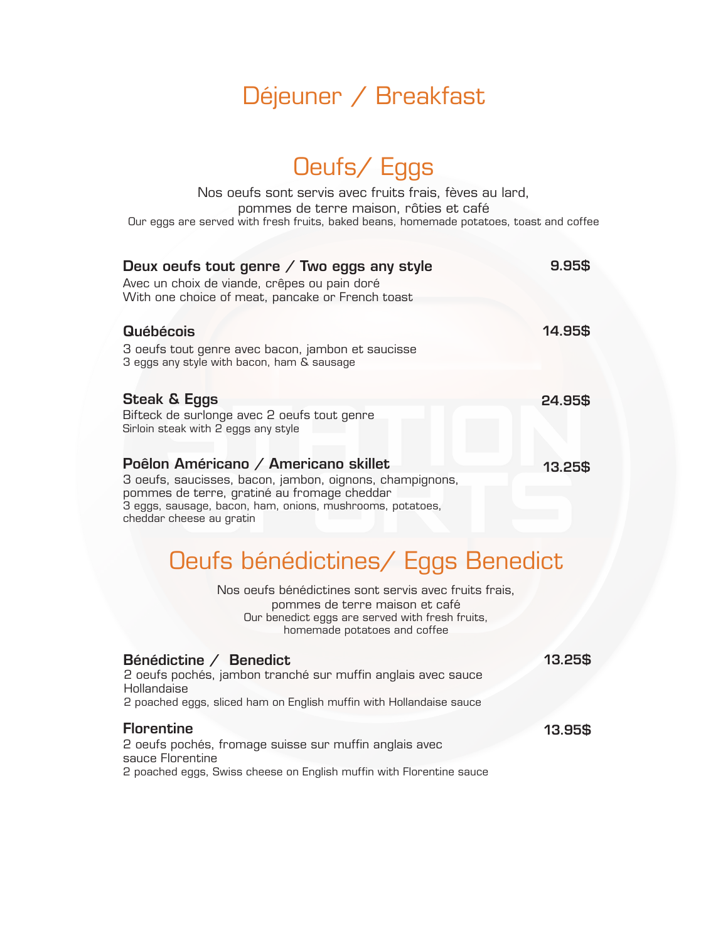#### Déjeuner / Breakfast

#### Oeufs/ Eggs

Nos oeufs sont servis avec fruits frais, fèves au lard, pommes de terre maison, rôties et café Our eggs are served with fresh fruits, baked beans, homemade potatoes, toast and coffee

| Deux oeufs tout genre $\diagup$ Two eggs any style<br>Avec un choix de viande, crêpes ou pain doré<br>With one choice of meat, pancake or French toast                                                                                   | 9.95\$  |
|------------------------------------------------------------------------------------------------------------------------------------------------------------------------------------------------------------------------------------------|---------|
| <b>Québécois</b>                                                                                                                                                                                                                         | 14.95\$ |
| 3 oeufs tout genre avec bacon, jambon et saucisse<br>3 eggs any style with bacon, ham & sausage                                                                                                                                          |         |
| <b>Steak &amp; Eggs</b><br>Bifteck de surlonge avec 2 oeufs tout genre<br>Sirloin steak with 2 eggs any style                                                                                                                            | 24.95\$ |
| Poêlon Américano / Americano skillet<br>3 oeufs, saucisses, bacon, jambon, oignons, champignons,<br>pommes de terre, gratiné au fromage cheddar<br>3 eggs, sausage, bacon, ham, onions, mushrooms, potatoes,<br>cheddar cheese au gratin | 13.25\$ |

## Oeufs bénédictines/ Eggs Benedict

Nos oeufs bénédictines sont servis avec fruits frais, pommes de terre maison et café Our benedict eggs are served with fresh fruits, homemade potatoes and coffee

| Bénédictine / Benedict<br>2 oeufs pochés, jambon tranché sur muffin anglais avec sauce<br>Hollandaise<br>2 poached eggs, sliced ham on English muffin with Hollandaise sauce | 13.25\$ |
|------------------------------------------------------------------------------------------------------------------------------------------------------------------------------|---------|
| <b>Florentine</b>                                                                                                                                                            | 13.95\$ |
| 2 oeufs pochés, fromage suisse sur muffin anglais avec                                                                                                                       |         |
| sauce Florentine                                                                                                                                                             |         |
| 2 poached eggs, Swiss cheese on English muffin with Florentine sauce                                                                                                         |         |